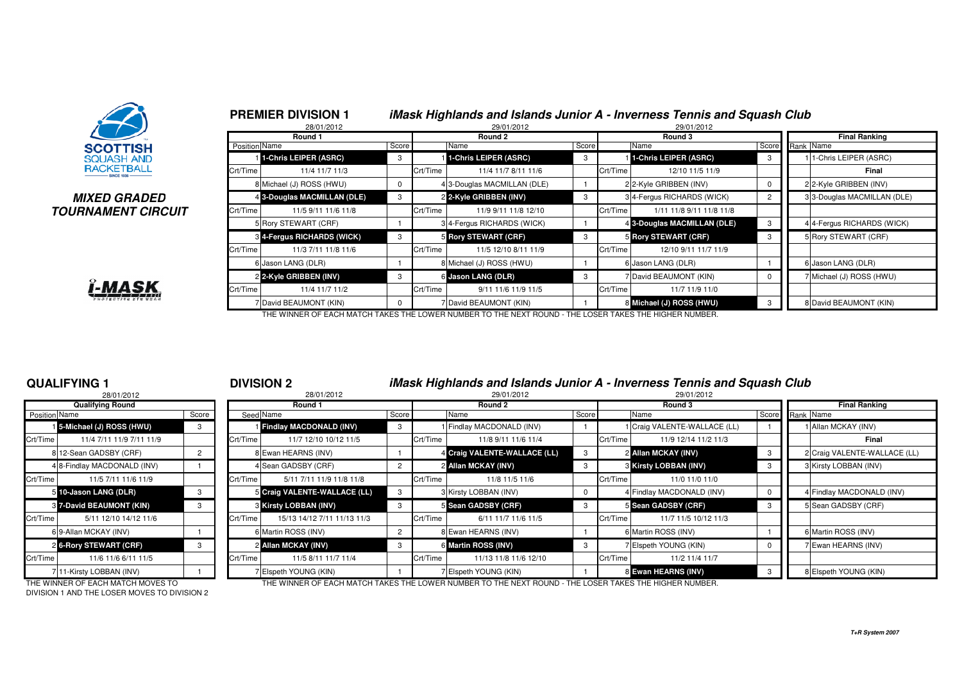

### **MIXED GRADEDTOURNAMENT CIRCUIT**



|               | <b>PREMIER DIVISION 1</b><br>28/01/2012 |          |          | 29/01/2012                  |       |          | iMask Highlands and Islands Junior A - Inverness Tennis and Squash Club<br>29/01/2012 |                |                            |
|---------------|-----------------------------------------|----------|----------|-----------------------------|-------|----------|---------------------------------------------------------------------------------------|----------------|----------------------------|
|               | Round 1                                 |          |          | Round 2                     |       |          | Round 3                                                                               |                | <b>Final Ranking</b>       |
| Position Name |                                         | Score    |          | Name                        | Score |          | Name                                                                                  | Score          | Rank Name                  |
|               | 1-Chris LEIPER (ASRC)                   | 3        |          | 1-Chris LEIPER (ASRC)       | 3     |          | 1-Chris LEIPER (ASRC)                                                                 | 3              | 1-Chris LEIPER (ASRC)      |
| Crt/Time      | 11/4 11/7 11/3                          |          | Crt/Time | 11/4 11/7 8/11 11/6         |       | Crt/Time | 12/10 11/5 11/9                                                                       |                | Final                      |
|               | 8 Michael (J) ROSS (HWU)                | 0        |          | 4 3-Douglas MACMILLAN (DLE) |       |          | 2 2-Kyle GRIBBEN (INV)                                                                | 0              | 2 2-Kyle GRIBBEN (INV)     |
|               | 4 3-Douglas MACMILLAN (DLE)             | 3        |          | 2 2-Kyle GRIBBEN (INV)      | 3     |          | 34-Fergus RICHARDS (WICK)                                                             | $\overline{2}$ | 33-Douglas MACMILLAN (DLE) |
| Crt/Time      | 11/5 9/11 11/6 11/8                     |          | Crt/Time | 11/9 9/11 11/8 12/10        |       | Crt/Time | 1/11 11/8 9/11 11/8 11/8                                                              |                |                            |
|               | 5 Rory STEWART (CRF)                    |          |          | 3 4-Fergus RICHARDS (WICK)  |       |          | 4 3-Douglas MACMILLAN (DLE)                                                           | 3              | 4 4-Fergus RICHARDS (WICK) |
|               | 3 4-Fergus RICHARDS (WICK)              | 3        |          | 5 Rory STEWART (CRF)        | 3     |          | 5 Rory STEWART (CRF)                                                                  | 3              | 5 Rory STEWART (CRF)       |
| Crt/Time      | 11/3 7/11 11/8 11/6                     |          | Crt/Time | 11/5 12/10 8/11 11/9        |       | Crt/Time | 12/10 9/11 11/7 11/9                                                                  |                |                            |
|               | 6 Jason LANG (DLR)                      |          |          | 8 Michael (J) ROSS (HWU)    |       |          | 6 Jason LANG (DLR)                                                                    |                | 6 Jason LANG (DLR)         |
|               | 2 2-Kyle GRIBBEN (INV)                  | 3        |          | 6 Jason LANG (DLR)          | 3     |          | 7 David BEAUMONT (KIN)                                                                | 0              | 7 Michael (J) ROSS (HWU)   |
| Crt/Time      | 11/4 11/7 11/2                          |          | Crt/Time | 9/11 11/6 11/9 11/5         |       | Crt/Time | 11/7 11/9 11/0                                                                        |                |                            |
|               | 7 David BEAUMONT (KIN)                  | $\Omega$ |          | 7 David BEAUMONT (KIN)      |       |          | 8 Michael (J) ROSS (HWU)                                                              | 3              | 8 David BEAUMONT (KIN)     |

THE WINNER OF EACH MATCH TAKES THE LOWER NUMBER TO THE NEXT ROUND - THE LOSER TAKES THE HIGHER NUMBER.

### **QUALIFYING 1**

|               | 28/01/2012                  |                |          |
|---------------|-----------------------------|----------------|----------|
|               | <b>Qualifying Round</b>     |                |          |
| Position Name |                             | Score          | Seed     |
|               | 15-Michael (J) ROSS (HWU)   | 3              |          |
| Crt/Time      | 11/4 7/11 11/9 7/11 11/9    |                | Crt/Time |
| 8             | 12-Sean GADSBY (CRF)        | $\overline{2}$ | 8        |
|               | 4 8-Findlay MACDONALD (INV) | 1              | 4        |
| Crt/Time      | 11/5 7/11 11/6 11/9         |                | Crt/Time |
|               | 5 10-Jason LANG (DLR)       | 3              | 5        |
|               | 8 7-David BEAUMONT (KIN)    | 3              | 3        |
| Crt/Time      | 5/11 12/10 14/12 11/6       |                | Crt/Time |
|               | 6 9-Allan MCKAY (INV)       |                | 6        |
|               | 2 6-Rory STEWART (CRF)      | 3              | 2        |
| Crt/Time      | 11/6 11/6 6/11 11/5         |                | Crt/Time |
|               | 7 11-Kirsty LOBBAN (INV)    |                |          |

<sup>1</sup> **DIVISION 2 iMask Highlands and Islands Junior A - Inverness Tennis and Squash Club**

| 28/01/2012                           |       |          | 28/01/2012                   |                |          | 29/01/2012                   |       | 29/01/2012                       |                 |                              |
|--------------------------------------|-------|----------|------------------------------|----------------|----------|------------------------------|-------|----------------------------------|-----------------|------------------------------|
| <b>Qualifying Round</b>              |       |          | Round 1                      |                |          | Round 2                      |       | Round 3                          |                 | <b>Final Ranking</b>         |
| Position Name                        | Score |          | Seed Name                    | Score          |          | Name                         | Score | Name                             | Score Rank Name |                              |
| 1 5-Michael (J) ROSS (HWU)           | 3     |          | Findlay MACDONALD (INV)      | 3              |          | Findlay MACDONALD (INV)      |       | Craig VALENTE-WALLACE (LL)       |                 | 1 Allan MCKAY (INV)          |
| Crt/Time<br>11/4 7/11 11/9 7/11 11/9 |       | Crt/Time | 11/7 12/10 10/12 11/5        |                | Crt/Time | 11/8 9/11 11/6 11/4          |       | Crt/Time<br>11/9 12/14 11/2 11/3 |                 | Final                        |
| 8 12-Sean GADSBY (CRF)               |       |          | 8 Ewan HEARNS (INV)          |                |          | 4 Craig VALENTE-WALLACE (LL) | 3     | 2 Allan MCKAY (INV)              |                 | 2 Craig VALENTE-WALLACE (LL) |
| 4 8-Findlay MACDONALD (INV)          |       |          | 4 Sean GADSBY (CRF)          | $\overline{2}$ |          | 2 Allan MCKAY (INV)          |       | <b>3 Kirsty LOBBAN (INV)</b>     |                 | 3 Kirsty LOBBAN (INV)        |
| Crt/Time<br>11/5 7/11 11/6 11/9      |       | Crt/Time | 5/11 7/11 11/9 11/8 11/8     |                | Crt/Time | 11/8 11/5 11/6               |       | Crt/Time<br>11/0 11/0 11/0       |                 |                              |
| 5 10-Jason LANG (DLR)                | 3     |          | 5 Craig VALENTE-WALLACE (LL) | 3              |          | 3 Kirsty LOBBAN (INV)        |       | 4 Findlay MACDONALD (INV)        |                 | Findlay MACDONALD (INV)      |
| <b>8 7-David BEAUMONT (KIN)</b>      | 3     |          | <b>8 Kirsty LOBBAN (INV)</b> | -3             |          | 5 Sean GADSBY (CRF)          |       | 5 Sean GADSBY (CRF)              |                 | 5 Sean GADSBY (CRF)          |
| Crt/Time<br>5/11 12/10 14/12 11/6    |       | Crt/Time | 15/13 14/12 7/11 11/13 11/3  |                | Crt/Time | 6/11 11/7 11/6 11/5          |       | 11/7 11/5 10/12 11/3<br>Crt/Time |                 |                              |
| 6 9-Allan MCKAY (INV)                |       |          | 6 Martin ROSS (INV)          | $\overline{2}$ |          | 8 Ewan HEARNS (INV)          |       | 6 Martin ROSS (INV)              |                 | <b>Martin ROSS (INV)</b>     |
| 2 6-Rory STEWART (CRF)               | 3     |          | 2 Allan MCKAY (INV)          | - 3            |          | 6 Martin ROSS (INV)          |       | 7 Elspeth YOUNG (KIN)            |                 | Ewan HEARNS (INV)            |
| Crt/Time<br>11/6 11/6 6/11 11/5      |       | Crt/Time | 11/5 8/11 11/7 11/4          |                | Crt/Time | 11/13 11/8 11/6 12/10        |       | Crt/Time<br>11/2 11/4 11/7       |                 |                              |
| 711-Kirsty LOBBAN (INV)              |       |          | 7 Elspeth YOUNG (KIN)        |                |          | Elspeth YOUNG (KIN)          |       | 8 Ewan HEARNS (INV)              |                 | 8 Elspeth YOUNG (KIN)        |

DIVISION 1 AND THE LOSER MOVES TO DIVISION 2

THE WINNER OF EACH MATCH MOVES TO THE WINNER OF EACH MATCH TAKES THE LOWER NUMBER TO THE NEXT ROUND - THE LOSER TAKES THE HIGHER NUMBER.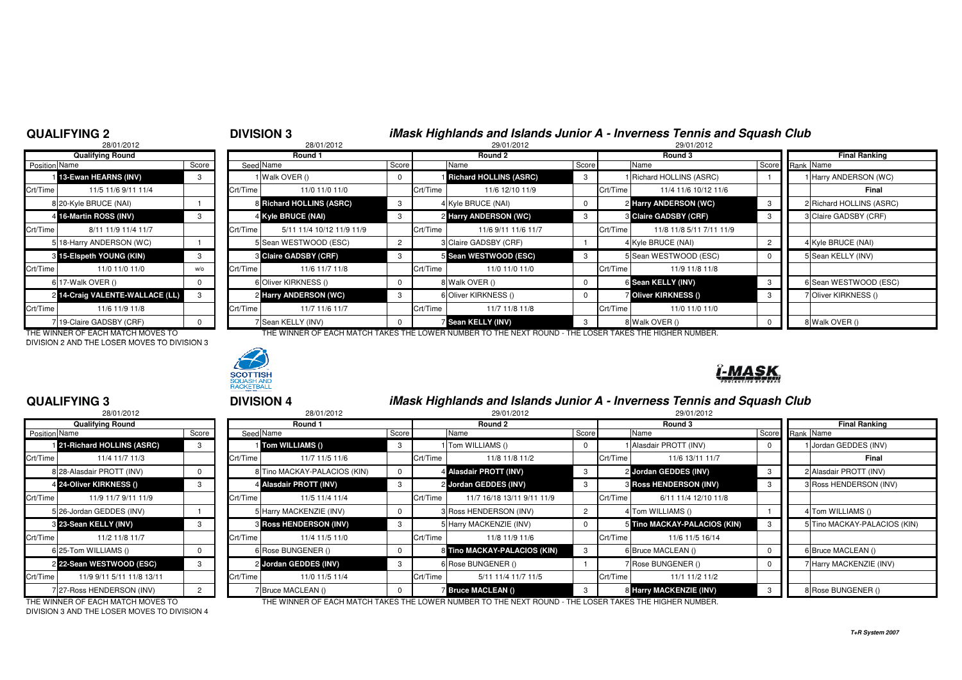### **QUALIFYING 2**

# <sup>2</sup> **DIVISION 3 iMask Highlands and Islands Junior A - Inverness Tennis and Squash Club**

|                      | 28/01/2012                      |       |          | 28/01/2012                   |                |          | 29/01/2012                      |       | 29/01/2012                           |             |                        |
|----------------------|---------------------------------|-------|----------|------------------------------|----------------|----------|---------------------------------|-------|--------------------------------------|-------------|------------------------|
|                      | <b>Qualifying Round</b>         |       |          | Round 1                      |                |          | Round 2                         |       | Round 3                              |             | <b>Final Ranking</b>   |
| <b>Position</b> Name |                                 | Score |          | Seed Name                    | Score          |          | Name                            | Score | Name                                 | Score       | Rank Name              |
|                      | 13-Ewan HEARNS (INV)            |       |          | Walk OVER ()                 |                |          | <b>I Richard HOLLINS (ASRC)</b> | 3     | 1 Richard HOLLINS (ASRC)             |             | 1 Harry ANDERSON (WC)  |
| Crt/Time             | 11/5 11/6 9/11 11/4             |       | Crt/Time | 11/0 11/0 11/0               |                | Crt/Time | 11/6 12/10 11/9                 |       | Crt/Time<br>11/4 11/6 10/12 11/6     |             | Final                  |
|                      | 8 20-Kyle BRUCE (NAI)           |       |          | 8 Richard HOLLINS (ASRC)     | 3              |          | 4 Kyle BRUCE (NAI)              |       | 2 Harry ANDERSON (WC)                | -3          | 2 Richard HOLLINS (ASR |
|                      | 4 16-Martin ROSS (INV)          | 3     |          | 4 Kyle BRUCE (NAI)           | 3              |          | 2 Harry ANDERSON (WC)           | 3     | <b>8 Claire GADSBY (CRF)</b>         | -3          | 3 Claire GADSBY (CRF)  |
| Crt/Time             | 8/11 11/9 11/4 11/7             |       | Crt/Time | 5/11 11/4 10/12 11/9 11/9    |                | Crt/Time | 11/6 9/11 11/6 11/7             |       | 11/8 11/8 5/11 7/11 11/9<br>Crt/Time |             |                        |
|                      | 5 18-Harry ANDERSON (WC)        |       |          | 5 Sean WESTWOOD (ESC)        | $\overline{2}$ |          | 3 Claire GADSBY (CRF)           |       | 4 Kyle BRUCE (NAI)                   | 2           | 4 Kyle BRUCE (NAI)     |
|                      | 8 15-Elspeth YOUNG (KIN)        |       |          | <b>8 Claire GADSBY (CRF)</b> |                |          | 5 Sean WESTWOOD (ESC)           |       | 5 Sean WESTWOOD (ESC)                | $\mathbf 0$ | 5 Sean KELLY (INV)     |
| Crt/Time             | 11/0 11/0 11/0                  | W/O   | Crt/Time | 11/6 11/7 11/8               |                | Crt/Time | 11/0 11/0 11/0                  |       | Crt/Time<br>11/9 11/8 11/8           |             |                        |
|                      | 6 17-Walk OVER ()               |       |          | 6 Oliver KIRKNESS ()         |                |          | 8 Walk OVER ()                  |       | 6 Sean KELLY (INV)                   | -3          | 6 Sean WESTWOOD (ES    |
|                      | 2 14-Craig VALENTE-WALLACE (LL) |       |          | 2 Harry ANDERSON (WC)        | 3              |          | 6 Oliver KIRKNESS ()            |       | Oliver KIRKNESS ()                   | -3          | 7 Oliver KIRKNESS ()   |
| Crt/Time             | 11/6 11/9 11/8                  |       | Crt/Time | 11/7 11/6 11/7               |                | Crt/Time | 11/7 11/8 11/8                  |       | Crt/Time<br>11/0 11/0 11/0           |             |                        |
|                      | 7 19-Claire GADSBY (CRF)        |       |          | 7 Sean KELLY (INV)           |                |          | <b>7 Sean KELLY (INV)</b>       | - 3   | 8 Walk OVER ()                       | $\mathbf 0$ | 8 Walk OVER ()         |

DIVISION 2 AND THE LOSER MOVES TO DIVISION 3



### **15-Elspeth YOUNG (KIN)** <sup>3</sup> <sup>3</sup> **Claire GADSBY (CRF)** <sup>3</sup> <sup>5</sup> **Sean WESTWOOD (ESC)** <sup>3</sup> <sup>5</sup> Sean WESTWOOD (ESC) <sup>0</sup> <sup>5</sup> Sean KELLY (INV) 0 | wo Crt/Time 11/6 11/7 11/8 | Crt/Time 11/0 11/0 11/0 11/0 | Crt/Time 11/9 11/8 11/8 6 17-Walk OVER () 0 6 Oliver KIRKNESS () 0 8 Walk OVER () 0 6**3** 6 Sean WESTWOOD (ESC) **14-Craig VALENTE-WALLACE (LL)** <sup>3</sup> <sup>2</sup> **Harry ANDERSON (WC)** <sup>3</sup> <sup>6</sup> Oliver KIRKNESS () <sup>0</sup> <sup>7</sup> **Oliver KIRKNESS ()** <sup>3</sup> <sup>7</sup> Oliver KIRKNESS () Crt/Time 11/6 11/9 11/8 Crt/Time 11/7 11/6 11/7 Crt/Time 11/7 11/8 11/8 Crt/Time 11/0 11/0 11/0 **Sean KELLY (INV)** <sup>3</sup> <sup>8</sup> Walk OVER () <sup>0</sup> <sup>8</sup> Walk OVER () THE WINNER OF EACH MATCH MOVES TO THE WINNER OF EACH MATCH TAKES THE LOWER NUMBER TO THE NEXT ROUND - THE LOSER TAKES THE HIGHER NUMBER.

## -MASK

### **QUALIFYING 3**

|                      | 28/01/2012                |       |          |
|----------------------|---------------------------|-------|----------|
|                      | <b>Qualifying Round</b>   |       |          |
| <b>Position Name</b> |                           | Score | Seed     |
|                      | 21-Richard HOLLINS (ASRC) | 3     |          |
| Crt/Time             | 11/4 11/7 11/3            |       | Crt/Time |
|                      | 8 28-Alasdair PROTT (INV) | 0     | 8        |
|                      | 4 24-Oliver KIRKNESS ()   | 3     | 4        |
| Crt/Time             | 11/9 11/7 9/11 11/9       |       | Crt/Time |
|                      | 5 26-Jordan GEDDES (INV)  |       | 5        |
|                      | 8 23-Sean KELLY (INV)     | 3     | 3        |
| Crt/Time             | 11/2 11/8 11/7            |       | Crt/Time |
|                      | 6 25-Tom WILLIAMS ()      | 0     | 6        |
|                      | 2 22-Sean WESTWOOD (ESC)  | 3     | 2        |
| Crt/Time             | 11/9 9/11 5/11 11/8 13/11 |       | Crt/Time |
|                      | 7 27-Ross HENDERSON (INV) | 2     | 7        |

 <sup>3</sup> **DIVISION 4 iMask Highlands and Islands Junior A - Inverness Tennis and Squash Club** 2 29/01/2012 29/01/2012 29/01/2012 29/01/2012 29/01/2012 29/01/2012

|                          | <sup>2</sup> 9999999              |       |          | 1000112012                        |       |          | 200010012                                                                                              |       |          | LUUUILU1L                         |    |                              |
|--------------------------|-----------------------------------|-------|----------|-----------------------------------|-------|----------|--------------------------------------------------------------------------------------------------------|-------|----------|-----------------------------------|----|------------------------------|
|                          | <b>Qualifying Round</b>           |       |          | Round 1                           |       |          | Round 2                                                                                                |       |          | Round 3                           |    | <b>Final Ranking</b>         |
| Position Name            |                                   | Score |          | Seed Name                         | Score |          | Name                                                                                                   | Score |          | Name                              |    | Score Rank Name              |
|                          | 121-Richard HOLLINS (ASRC)        |       |          | 1 Tom WILLIAMS ()                 | -3    |          | 1 Tom WILLIAMS ()                                                                                      |       |          | 1 Alasdair PROTT (INV)            |    | 1 Jordan GEDDES (INV)        |
| Crt/Time                 | 11/4 11/7 11/3                    |       | Crt/Time | 11/7 11/5 11/6                    |       | Crt/Time | 11/8 11/8 11/2                                                                                         |       | Crt/Time | 11/6 13/11 11/7                   |    | Final                        |
|                          | 8 28-Alasdair PROTT (INV)         |       |          | 8 Tino MACKAY-PALACIOS (KIN)      |       |          | 4 Alasdair PROTT (INV)                                                                                 | -3    |          | 2 Jordan GEDDES (INV)             |    | 2 Alasdair PROTT (INV)       |
|                          | 4 24-Oliver KIRKNESS ()           |       |          | 4 Alasdair PROTT (INV)            |       |          | 2 Jordan GEDDES (INV)                                                                                  | 3     |          | <b>&amp; Ross HENDERSON (INV)</b> | -3 | 3 Ross HENDERSON (INV)       |
| Crt/Time                 | 11/9 11/7 9/11 11/9               |       | Crt/Time | 11/5 11/4 11/4                    |       | Crt/Time | 11/7 16/18 13/11 9/11 11/9                                                                             |       | Crt/Time | 6/11 11/4 12/10 11/8              |    |                              |
|                          | 5 26-Jordan GEDDES (INV)          |       |          | 5 Harry MACKENZIE (INV)           |       |          | 3 Ross HENDERSON (INV)                                                                                 |       |          | 4 Tom WILLIAMS ()                 |    | 4 Tom WILLIAMS ()            |
|                          | 3 23-Sean KELLY (INV)             |       |          | <b>&amp; Ross HENDERSON (INV)</b> |       |          | 5 Harry MACKENZIE (INV)                                                                                |       |          | 5 Tino MACKAY-PALACIOS (KIN)      |    | 5 Tino MACKAY-PALACIOS (KIN) |
| Crt/Time                 | 11/2 11/8 11/7                    |       | Crt/Time | 11/4 11/5 11/0                    |       | Crt/Time | 11/8 11/9 11/6                                                                                         |       | Crt/Time | 11/6 11/5 16/14                   |    |                              |
|                          | 6 25-Tom WILLIAMS ()              |       |          | 6 Rose BUNGENER ()                |       |          | 8 Tino MACKAY-PALACIOS (KIN)                                                                           | - 3   |          | 6 Bruce MACLEAN ()                |    | 6 Bruce MACLEAN ()           |
|                          | 2 22-Sean WESTWOOD (ESC)          |       |          | 2 Jordan GEDDES (INV)             | 3     |          | 6 Rose BUNGENER ()                                                                                     |       |          | 7 Rose BUNGENER ()                |    | 7 Harry MACKENZIE (INV)      |
| Crt/Time                 | 11/9 9/11 5/11 11/8 13/11         |       | Crt/Time | 11/0 11/5 11/4                    |       | Crt/Time | 5/11 11/4 11/7 11/5                                                                                    |       | Crt/Time | 11/1 11/2 11/2                    |    |                              |
| 727-Ross HENDERSON (INV) |                                   |       |          | 7 Bruce MACLEAN ()                |       |          | <b>Bruce MACLEAN ()</b>                                                                                |       |          | 8 Harry MACKENZIE (INV)           |    | 8 Rose BUNGENER ()           |
|                          | THE WINNER OF FAQUINATOU MOVED TO |       |          |                                   |       |          | THE WINNER OF EACH MATCH TAKES THE LOWER MINIRER TO THE NEVT ROUND. THE LOGER TAKES THE HIGHER MINIRER |       |          |                                   |    |                              |

DIVISION 3 AND THE LOSER MOVES TO DIVISION 4

THE WINNER OF EACH MATCH MOVES TO THE WINNER OF EACH MATCH TAKES THE LOWER NUMBER TO THE NEXT ROUND - THE LOSER TAKES THE HIGHER NUMBER.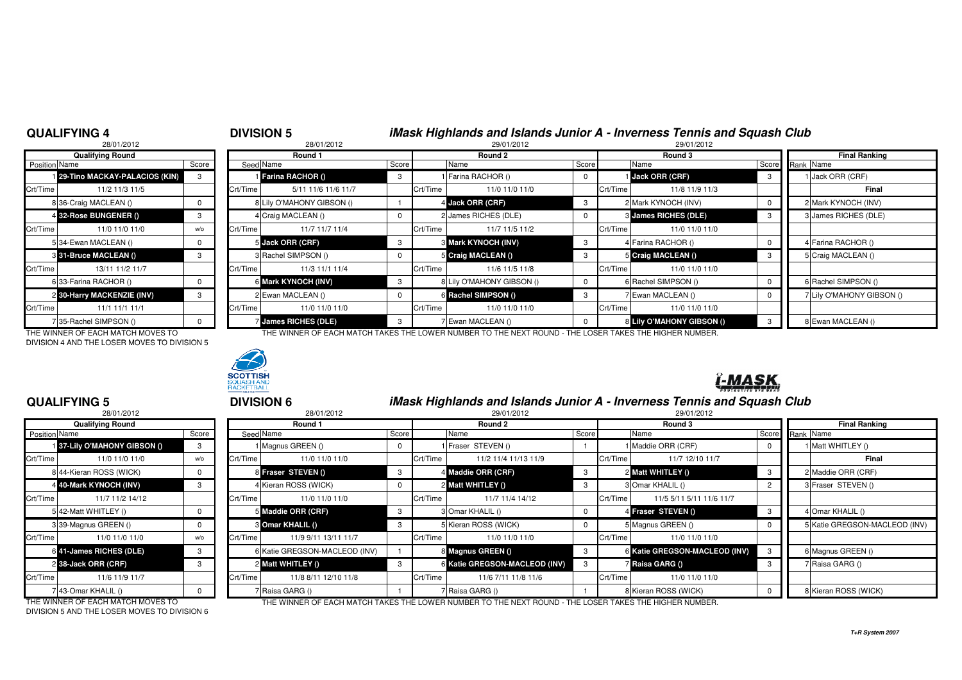### **QUALIFYING 4**

# <sup>4</sup> **DIVISION 5 iMask Highlands and Islands Junior A - Inverness Tennis and Squash Club**

**J** Jack ORR (CRF) 3 3 Mark KYNOCH (INV) 3 4 Farina RACHOR () 4 Farina RACHOR ()

6 **Mark KYNOCH (INV)** 3 8 8 Lily O'MAHONY GIBSON () 0 6 Rachel SIMPSON () 0 6 Rachel SIMPSON ()

**James RICHES (DLE)** 3 7 Ewan MACLEAN () 8 **Lily O'MAHONY GIBSON ()** 3 8 Ewan MACLEAN ()

28/01/20122 29/01/2012 29/01/2012 29/01/2012 29/01/2012 29/01/2012 29/01/2012 **Qualifying Round Round 1 Round 2 Round 3 Final Ranking Position** Name n Name Score Score Seed Name Seed Score Seed Score Score Name Score Name Score Name Score Score Rank Name Score **29-Tino MACKAY-PALACIOS (KIN)** <sup>3</sup> <sup>1</sup> **Farina RACHOR ()** <sup>3</sup> <sup>1</sup> Farina RACHOR () <sup>0</sup> <sup>1</sup> **Jack ORR (CRF)** <sup>3</sup> <sup>1</sup> Jack ORR (CRF) Crt/Time | 11/2 11/3 11/5 | Crt/Time | 5/11 11/6 11/6 11/7 | Crt/Time | 11/0 11/0 11/0 | Crt/Time | 11/3 11/3 11/3 8 36-Craig MACLEAN () 0 8 Lily O'MAHONY GIBSON () <sup>1</sup> <sup>4</sup>4 32-Rose BUNGENER () 4 32-Rose BUNGENER () 3 4 Craig MACLEAN () 2 James RICHES (DLE) 3 James RICHES (DLE) 3 3 James RICHES (DLE) Crt/Time 11/0 11/0 11/00 | wo Crt/Time 11/7 11/7 11/4 | Crt/Time 11/7 11/5 11/2 | Crt/Time 11/0 11/0 5 34-Ewan MACLEAN () 0 53 31-Bruce MACLEAN () **31-Bruce MACLEAN ()** <sup>3</sup> <sup>3</sup> Rachel SIMPSON () <sup>0</sup> <sup>5</sup> **Craig MACLEAN ()** <sup>3</sup> <sup>5</sup> **Craig MACLEAN ()** <sup>3</sup> <sup>5</sup> Craig MACLEAN () Crt/Time 13/11 11/2 11/7 | | Crt/Time | 11/3 11/1 11/4 | Crt/Time | 11/6 11/8 11/0 11/0 11/0 6 33-Farina RACHOR () 0 6 Mark KYNOCH (INV) 2 30-Harry MACKENZIE (INV) **30-Harry MACKENZIE (INV)** <sup>3</sup> <sup>2</sup> Ewan MACLEAN () <sup>0</sup> <sup>6</sup> **Rachel SIMPSON ()** <sup>3</sup> <sup>7</sup> Ewan MACLEAN () <sup>0</sup> <sup>7</sup> Lily O'MAHONY GIBSON () Crt/Time | 11/1 11/1 11/1 | Crt/Time | 11/0 11/0 11/0 | Crt/Time | 11/0 11/0 11/0 | Crt/Time | 11/0 11/0 11/0 7 35-Rachel SIMPSON () 0 7 James RICHES (DLE)

THE WINNER OF EACH MATCH MOVES TO THE WINNER OF EACH MATCH TAKES THE LOWER NUMBER TO THE NEXT ROUND - THE LOSER TAKES THE HIGHER NUMBER.DIVISION 4 AND THE LOSER MOVES TO DIVISION 5



## -MASK

**Jack ORR (STAGE)** 3 2 Mark KYNOCH (INV) **1** 2 Mark KYNOCH (INV)

**Contract Service Contract Service Contract Service Contract Service Contract Service Contract Service Contract** 

### **QUALIFYING 5**

|               | 28/01/2012                  |                |          |
|---------------|-----------------------------|----------------|----------|
|               | <b>Qualifying Round</b>     |                |          |
| Position Name |                             | Score          | Seed     |
|               | 137-Lily O'MAHONY GIBSON () | 3              |          |
| Crt/Time      | 11/0 11/0 11/0              | $w$ / $\Omega$ | Crt/Time |
|               | 8 44-Kieran ROSS (WICK)     | <sup>0</sup>   | 8        |
|               | 4 40-Mark KYNOCH (INV)      | 3              | 4        |
| Crt/Time      | 11/7 11/2 14/12             |                | Crt/Time |
|               | 5 42-Matt WHITLEY ()        | 0              | 5        |
|               | 339-Magnus GREEN ()         | 0              | 3        |
| Crt/Time      | 11/0 11/0 11/0              | $w$ / $\Omega$ | Crt/Time |
|               | 6 41-James RICHES (DLE)     | 3              | 6        |
|               | 2 38-Jack ORR (CRF)         | 3              | 2        |
| Crt/Time      | 11/6 11/9 11/7              |                | Crt/Time |
|               | 743-Omar KHALIL ()          | n              |          |

|               | 28/01/2012                        |       |          | 28/01/2012                    | 29/01/2012 |          |                                                                                                            |       | 29/01/2012 |                               |       |                               |
|---------------|-----------------------------------|-------|----------|-------------------------------|------------|----------|------------------------------------------------------------------------------------------------------------|-------|------------|-------------------------------|-------|-------------------------------|
|               | <b>Qualifying Round</b>           |       |          | Round 1                       |            |          | Round 2                                                                                                    |       |            | Round 3                       |       | <b>Final Ranking</b>          |
| Position Name |                                   | Score |          | Seed Name                     | Score      |          | Name                                                                                                       | Score |            | Name                          | Score | Rank Name                     |
|               | 1 37-Lily O'MAHONY GIBSON ()      | 3     |          | Magnus GREEN ()               |            |          | <b>Fraser STEVEN ()</b>                                                                                    |       |            | Maddie ORR (CRF)              |       | Matt WHITLEY ()               |
| Crt/Time      | 11/0 11/0 11/0                    | w/o   | Crt/Time | 11/0 11/0 11/0                |            | Crt/Time | 11/2 11/4 11/13 11/9                                                                                       |       | Crt/Time   | 11/7 12/10 11/7               |       | Final                         |
|               | 8 44-Kieran ROSS (WICK)           |       |          | 8 Fraser STEVEN ()            |            |          | 4 Maddie ORR (CRF)                                                                                         | -3    |            | 2 Matt WHITLEY ()             | -3    | 2 Maddie ORR (CRF)            |
|               | 4 40-Mark KYNOCH (INV)            | 3     |          | 4 Kieran ROSS (WICK)          |            |          | 2 Matt WHITLEY ()                                                                                          | -3    |            | 3 Omar KHALIL ()              |       | 3 Fraser STEVEN ()            |
| Crt/Time      | 11/7 11/2 14/12                   |       | Crt/Time | 11/0 11/0 11/0                |            | Crt/Time | 11/7 11/4 14/12                                                                                            |       | Crt/Time   | 11/5 5/11 5/11 11/6 11/7      |       |                               |
|               | 542-Matt WHITLEY ()               |       |          | 5 Maddie ORR (CRF)            |            |          | 3 Omar KHALIL ()                                                                                           |       |            | 4 Fraser STEVEN ()            | - 3   | 4 Omar KHALIL ()              |
|               | 339-Magnus GREEN ()               |       |          | 8 Omar KHALIL ()              |            |          | 5 Kieran ROSS (WICK)                                                                                       |       |            | 5 Magnus GREEN ()             |       | 5 Katie GREGSON-MACLEOD (INV) |
| Crt/Time      | 11/0 11/0 11/0                    | W/O   | Crt/Time | 11/9 9/11 13/11 11/7          |            | Crt/Time | 11/0 11/0 11/0                                                                                             |       | Crt/Time   | 11/0 11/0 11/0                |       |                               |
|               | 6 41-James RICHES (DLE)           | 3     |          | 6 Katie GREGSON-MACLEOD (INV) |            |          | 8 Magnus GREEN ()                                                                                          | -3    |            | 6 Katie GREGSON-MACLEOD (INV) |       | 6 Magnus GREEN ()             |
|               | 2 38-Jack ORR (CRF)               | 3     |          | 2 Matt WHITLEY ()             |            |          | 6 Katie GREGSON-MACLEOD (INV)                                                                              | 3     |            | 7 Raisa GARG ()               |       | 7 Raisa GARG ()               |
| Crt/Time      | 11/6 11/9 11/7                    |       | Crt/Time | 11/8 8/11 12/10 11/8          |            | Crt/Time | 11/6 7/11 11/8 11/6                                                                                        |       | Crt/Time   | 11/0 11/0 11/0                |       |                               |
|               | 743-Omar KHALIL ()                |       |          | Raisa GARG ()                 |            |          | Raisa GARG ()                                                                                              |       |            | 8 Kieran ROSS (WICK)          |       | 8 Kieran ROSS (WICK)          |
|               | THE WINNER OF EACH MATCH MOVES TO |       |          |                               |            |          | THE WINNER OF EACH MATCH TAKES THE LOWER NI IMPERITO THE NEVT ROLIND. THE LOSER TAKES THE HIGHER NI IMPERI |       |            |                               |       |                               |

DIVISION 5 AND THE LOSER MOVES TO DIVISION 6

THE WINNER OF EACH MATCH MOVES TO THE THE WINNER OF EACH MATCH TAKES THE LOWER NUMBER TO THE NEXT ROUND - THE LOSER TAKES THE HIGHER NUMBER.